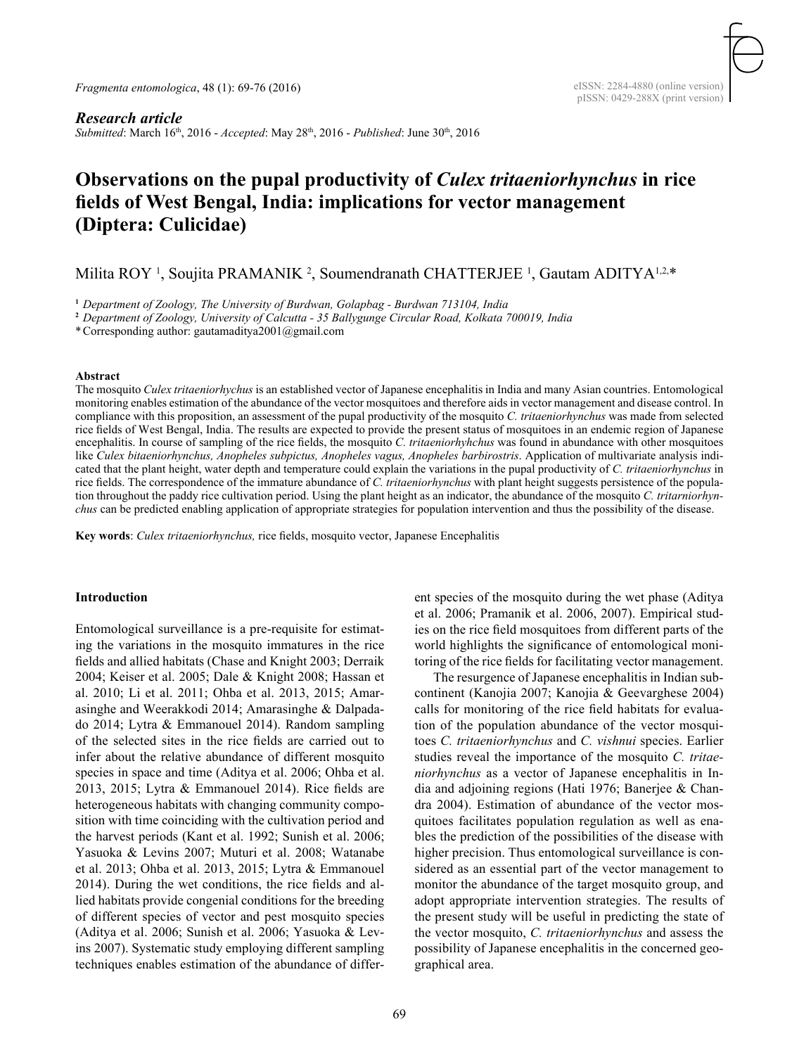## *Research article*

*Submitted*: March 16th, 2016 - *Accepted*: May 28th, 2016 - *Published*: June 30th, 2016

# **Observations on the pupal productivity of** *Culex tritaeniorhynchus* **in rice fields of West Bengal, India: implications for vector management (Diptera: Culicidae)**

Milita ROY<sup>1</sup>, Soujita PRAMANIK<sup>2</sup>, Soumendranath CHATTERJEE<sup>1</sup>, Gautam ADITYA<sup>1,2,\*</sup>

**<sup>1</sup>** *Department of Zoology, The University of Burdwan, Golapbag - Burdwan 713104, India*

**<sup>2</sup>** *Department of Zoology, University of Calcutta - 35 Ballygunge Circular Road, Kolkata 700019, India*

\*Corresponding author: gautamaditya2001@gmail.com

#### **Abstract**

The mosquito *Culex tritaeniorhychus* is an established vector of Japanese encephalitis in India and many Asian countries. Entomological monitoring enables estimation of the abundance of the vector mosquitoes and therefore aids in vector management and disease control. In compliance with this proposition, an assessment of the pupal productivity of the mosquito *C. tritaeniorhynchus* was made from selected rice fields of West Bengal, India. The results are expected to provide the present status of mosquitoes in an endemic region of Japanese encephalitis. In course of sampling of the rice fields, the mosquito *C. tritaeniorhyhchus* was found in abundance with other mosquitoes like *Culex bitaeniorhynchus, Anopheles subpictus, Anopheles vagus, Anopheles barbirostris*. Application of multivariate analysis indicated that the plant height, water depth and temperature could explain the variations in the pupal productivity of *C. tritaeniorhynchus* in rice fields. The correspondence of the immature abundance of *C. tritaeniorhynchus* with plant height suggests persistence of the population throughout the paddy rice cultivation period. Using the plant height as an indicator, the abundance of the mosquito *C. tritarniorhynchus* can be predicted enabling application of appropriate strategies for population intervention and thus the possibility of the disease.

**Key words**: *Culex tritaeniorhynchus,* rice fields, mosquito vector, Japanese Encephalitis

## **Introduction**

Entomological surveillance is a pre-requisite for estimating the variations in the mosquito immatures in the rice fields and allied habitats (Chase and Knight 2003; Derraik 2004; Keiser et al. 2005; Dale & Knight 2008; Hassan et al. 2010; Li et al. 2011; Ohba et al. 2013, 2015; Amarasinghe and Weerakkodi 2014; Amarasinghe & Dalpadado 2014; Lytra & Emmanouel 2014). Random sampling of the selected sites in the rice fields are carried out to infer about the relative abundance of different mosquito species in space and time (Aditya et al. 2006; Ohba et al. 2013, 2015; Lytra & Emmanouel 2014). Rice fields are heterogeneous habitats with changing community composition with time coinciding with the cultivation period and the harvest periods (Kant et al. 1992; Sunish et al. 2006; Yasuoka & Levins 2007; Muturi et al. 2008; Watanabe et al. 2013; Ohba et al. 2013, 2015; Lytra & Emmanouel 2014). During the wet conditions, the rice fields and allied habitats provide congenial conditions for the breeding of different species of vector and pest mosquito species (Aditya et al. 2006; Sunish et al. 2006; Yasuoka & Levins 2007). Systematic study employing different sampling techniques enables estimation of the abundance of different species of the mosquito during the wet phase (Aditya et al. 2006; Pramanik et al. 2006, 2007). Empirical studies on the rice field mosquitoes from different parts of the world highlights the significance of entomological monitoring of the rice fields for facilitating vector management.

The resurgence of Japanese encephalitis in Indian subcontinent (Kanojia 2007; Kanojia & Geevarghese 2004) calls for monitoring of the rice field habitats for evaluation of the population abundance of the vector mosquitoes *C. tritaeniorhynchus* and *C. vishnui* species. Earlier studies reveal the importance of the mosquito *C. tritaeniorhynchus* as a vector of Japanese encephalitis in India and adjoining regions (Hati 1976; Banerjee & Chandra 2004). Estimation of abundance of the vector mosquitoes facilitates population regulation as well as enables the prediction of the possibilities of the disease with higher precision. Thus entomological surveillance is considered as an essential part of the vector management to monitor the abundance of the target mosquito group, and adopt appropriate intervention strategies. The results of the present study will be useful in predicting the state of the vector mosquito, *C. tritaeniorhynchus* and assess the possibility of Japanese encephalitis in the concerned geographical area.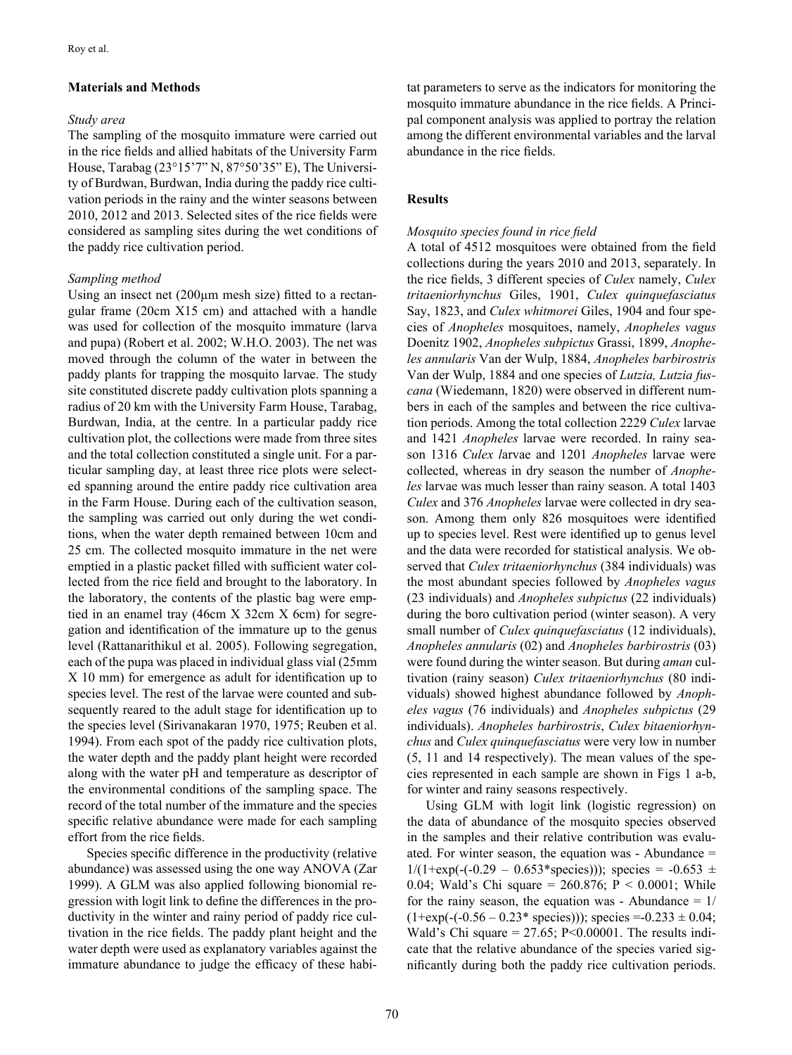# **Materials and Methods**

# *Study area*

The sampling of the mosquito immature were carried out in the rice fields and allied habitats of the University Farm House, Tarabag (23°15'7" N, 87°50'35" E), The University of Burdwan, Burdwan, India during the paddy rice cultivation periods in the rainy and the winter seasons between 2010, 2012 and 2013. Selected sites of the rice fields were considered as sampling sites during the wet conditions of the paddy rice cultivation period.

## *Sampling method*

Using an insect net (200µm mesh size) fitted to a rectangular frame (20cm X15 cm) and attached with a handle was used for collection of the mosquito immature (larva and pupa) (Robert et al. 2002; W.H.O. 2003). The net was moved through the column of the water in between the paddy plants for trapping the mosquito larvae. The study site constituted discrete paddy cultivation plots spanning a radius of 20 km with the University Farm House, Tarabag, Burdwan, India, at the centre. In a particular paddy rice cultivation plot, the collections were made from three sites and the total collection constituted a single unit. For a particular sampling day, at least three rice plots were selected spanning around the entire paddy rice cultivation area in the Farm House. During each of the cultivation season, the sampling was carried out only during the wet conditions, when the water depth remained between 10cm and 25 cm. The collected mosquito immature in the net were emptied in a plastic packet filled with sufficient water collected from the rice field and brought to the laboratory. In the laboratory, the contents of the plastic bag were emptied in an enamel tray (46cm X 32cm X 6cm) for segregation and identification of the immature up to the genus level (Rattanarithikul et al. 2005). Following segregation, each of the pupa was placed in individual glass vial (25mm X 10 mm) for emergence as adult for identification up to species level. The rest of the larvae were counted and subsequently reared to the adult stage for identification up to the species level (Sirivanakaran 1970, 1975; Reuben et al. 1994). From each spot of the paddy rice cultivation plots, the water depth and the paddy plant height were recorded along with the water pH and temperature as descriptor of the environmental conditions of the sampling space. The record of the total number of the immature and the species specific relative abundance were made for each sampling effort from the rice fields.

Species specific difference in the productivity (relative abundance) was assessed using the one way ANOVA (Zar 1999). A GLM was also applied following bionomial regression with logit link to define the differences in the productivity in the winter and rainy period of paddy rice cultivation in the rice fields. The paddy plant height and the water depth were used as explanatory variables against the immature abundance to judge the efficacy of these habitat parameters to serve as the indicators for monitoring the mosquito immature abundance in the rice fields. A Principal component analysis was applied to portray the relation among the different environmental variables and the larval abundance in the rice fields.

# **Results**

# *Mosquito species found in rice field*

A total of 4512 mosquitoes were obtained from the field collections during the years 2010 and 2013, separately. In the rice fields, 3 different species of *Culex* namely, *Culex tritaeniorhynchus* Giles, 1901, *Culex quinquefasciatus* Say, 1823, and *Culex whitmorei* Giles, 1904 and four species of *Anopheles* mosquitoes, namely, *Anopheles vagus*  Doenitz 1902, *Anopheles subpictus* Grassi, 1899, *Anopheles annularis* Van der Wulp, 1884, *Anopheles barbirostris* Van der Wulp, 1884 and one species of *Lutzia, Lutzia fuscana* (Wiedemann, 1820) were observed in different numbers in each of the samples and between the rice cultivation periods. Among the total collection 2229 *Culex* larvae and 1421 *Anopheles* larvae were recorded. In rainy season 1316 *Culex l*arvae and 1201 *Anopheles* larvae were collected, whereas in dry season the number of *Anopheles* larvae was much lesser than rainy season. A total 1403 *Culex* and 376 *Anopheles* larvae were collected in dry season. Among them only 826 mosquitoes were identified up to species level. Rest were identified up to genus level and the data were recorded for statistical analysis. We observed that *Culex tritaeniorhynchus* (384 individuals) was the most abundant species followed by *Anopheles vagus* (23 individuals) and *Anopheles subpictus* (22 individuals) during the boro cultivation period (winter season). A very small number of *Culex quinquefasciatus* (12 individuals), *Anopheles annularis* (02) and *Anopheles barbirostris* (03) were found during the winter season. But during *aman* cultivation (rainy season) *Culex tritaeniorhynchus* (80 individuals) showed highest abundance followed by *Anopheles vagus* (76 individuals) and *Anopheles subpictus* (29 individuals). *Anopheles barbirostris*, *Culex bitaeniorhynchus* and *Culex quinquefasciatus* were very low in number (5, 11 and 14 respectively). The mean values of the species represented in each sample are shown in Figs 1 a-b, for winter and rainy seasons respectively.

Using GLM with logit link (logistic regression) on the data of abundance of the mosquito species observed in the samples and their relative contribution was evaluated. For winter season, the equation was - Abundance =  $1/(1+\exp(-(0.29 - 0.653*\text{species})))$ ; species =  $-0.653 \pm$ 0.04; Wald's Chi square = 260.876; P < 0.0001; While for the rainy season, the equation was - Abundance  $= 1/$  $(1+\exp(-(0.56 - 0.23*\;species)))$ ; species =  $-0.233 \pm 0.04$ ; Wald's Chi square =  $27.65$ ; P<0.00001. The results indicate that the relative abundance of the species varied significantly during both the paddy rice cultivation periods.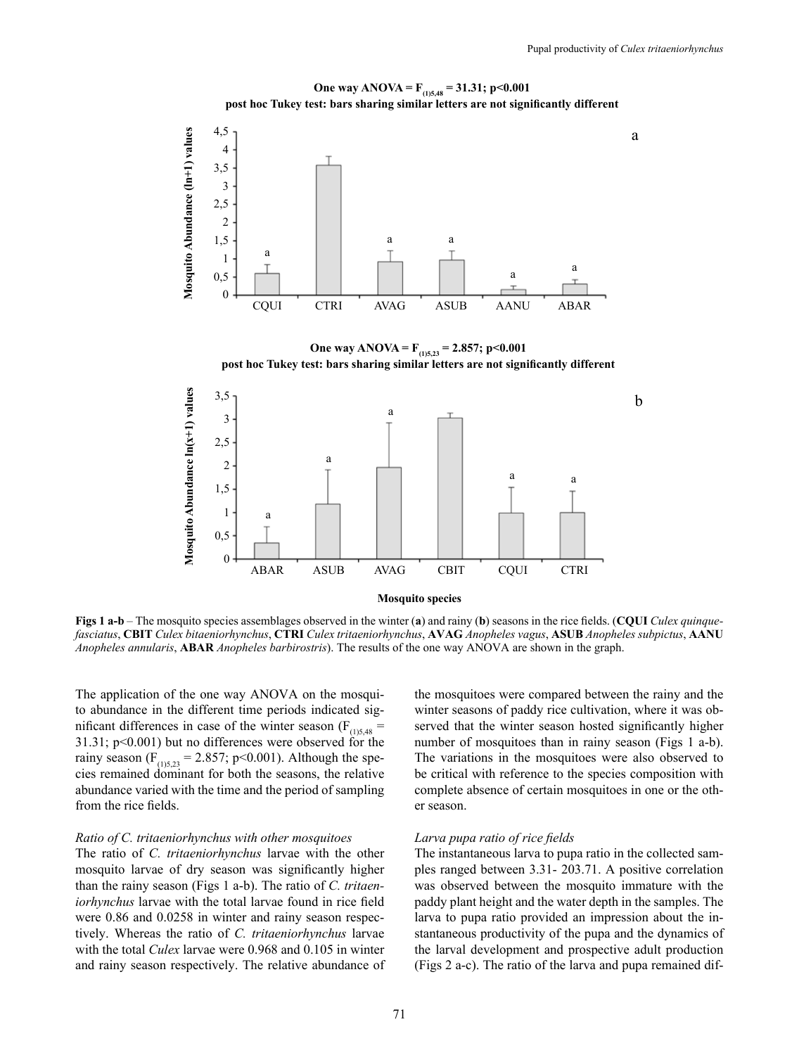a



**One way ANOVA = F(1)5,48 = 31.31; p<0.001 post hoc Tukey test: bars sharing similar letters are not significantly different**

**One way ANOVA = F(1)5,23 = 2.857; p<0.001 post hoc Tukey test: bars sharing similar letters are not significantly different**



**Figs 1 a-b** – The mosquito species assemblages observed in the winter (**a**) and rainy (**b**) seasons in the rice fields. (**CQUI** *Culex quinquefasciatus*, **CBIT** *Culex bitaeniorhynchus*, **CTRI** *Culex tritaeniorhynchus*, **AVAG** *Anopheles vagus*, **ASUB** *Anopheles subpictus*, **AANU** *Anopheles annularis*, **ABAR** *Anopheles barbirostris*). The results of the one way ANOVA are shown in the graph.

The application of the one way ANOVA on the mosquito abundance in the different time periods indicated significant differences in case of the winter season ( $F_{(1)5,48}$  = 31.31; p<0.001) but no differences were observed for the rainy season ( $F_{(1)5,23}$  = 2.857; p<0.001). Although the species remained dominant for both the seasons, the relative abundance varied with the time and the period of sampling from the rice fields.

## *Ratio of C. tritaeniorhynchus with other mosquitoes*

The ratio of *C. tritaeniorhynchus* larvae with the other mosquito larvae of dry season was significantly higher than the rainy season (Figs 1 a-b). The ratio of *C. tritaeniorhynchus* larvae with the total larvae found in rice field were 0.86 and 0.0258 in winter and rainy season respectively. Whereas the ratio of *C. tritaeniorhynchus* larvae with the total *Culex* larvae were 0.968 and 0.105 in winter and rainy season respectively. The relative abundance of the mosquitoes were compared between the rainy and the winter seasons of paddy rice cultivation, where it was observed that the winter season hosted significantly higher number of mosquitoes than in rainy season (Figs 1 a-b). The variations in the mosquitoes were also observed to be critical with reference to the species composition with complete absence of certain mosquitoes in one or the other season.

## *Larva pupa ratio of rice fields*

The instantaneous larva to pupa ratio in the collected samples ranged between 3.31- 203.71. A positive correlation was observed between the mosquito immature with the paddy plant height and the water depth in the samples. The larva to pupa ratio provided an impression about the instantaneous productivity of the pupa and the dynamics of the larval development and prospective adult production (Figs 2 a-c). The ratio of the larva and pupa remained dif-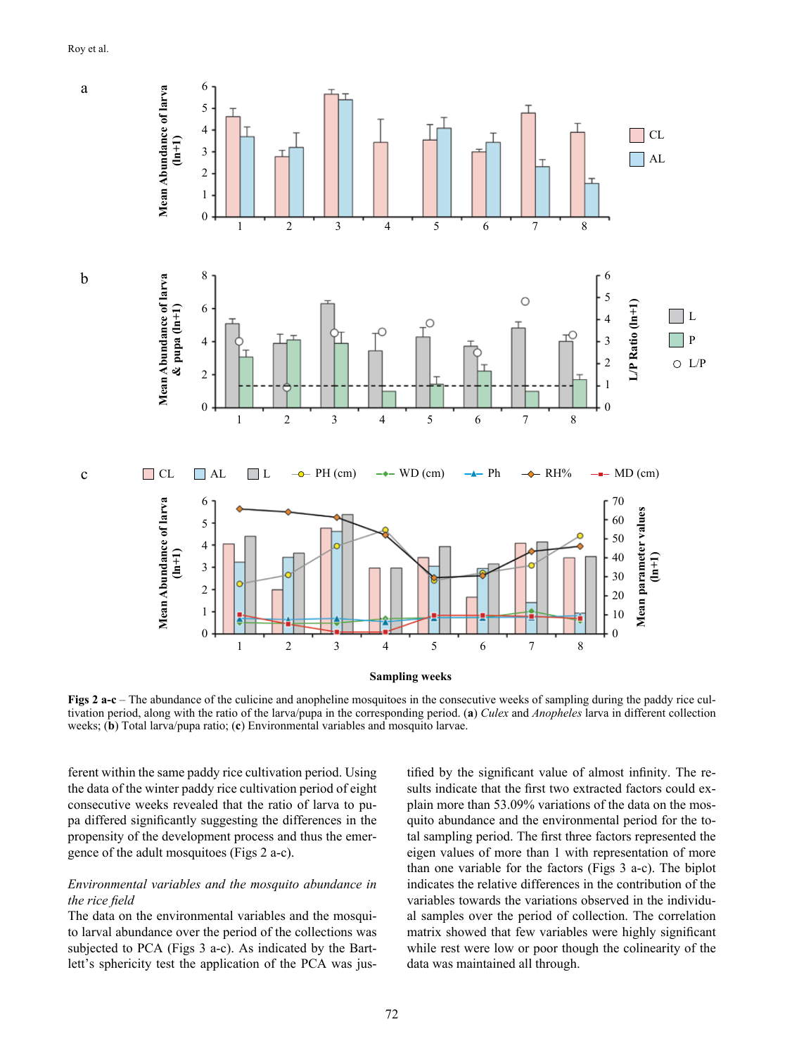

**Figs 2 a-c** – The abundance of the culicine and anopheline mosquitoes in the consecutive weeks of sampling during the paddy rice cultivation period, along with the ratio of the larva/pupa in the corresponding period. (**a**) *Culex* and *Anopheles* larva in different collection weeks; (**b**) Total larva/pupa ratio; (**c**) Environmental variables and mosquito larvae.

ferent within the same paddy rice cultivation period. Using the data of the winter paddy rice cultivation period of eight consecutive weeks revealed that the ratio of larva to pupa differed significantly suggesting the differences in the propensity of the development process and thus the emergence of the adult mosquitoes (Figs 2 a-c).

# *Environmental variables and the mosquito abundance in the rice field*

The data on the environmental variables and the mosquito larval abundance over the period of the collections was subjected to PCA (Figs 3 a-c). As indicated by the Bartlett's sphericity test the application of the PCA was justified by the significant value of almost infinity. The results indicate that the first two extracted factors could explain more than 53.09% variations of the data on the mosquito abundance and the environmental period for the total sampling period. The first three factors represented the eigen values of more than 1 with representation of more than one variable for the factors (Figs 3 a-c). The biplot indicates the relative differences in the contribution of the variables towards the variations observed in the individual samples over the period of collection. The correlation matrix showed that few variables were highly significant while rest were low or poor though the colinearity of the data was maintained all through.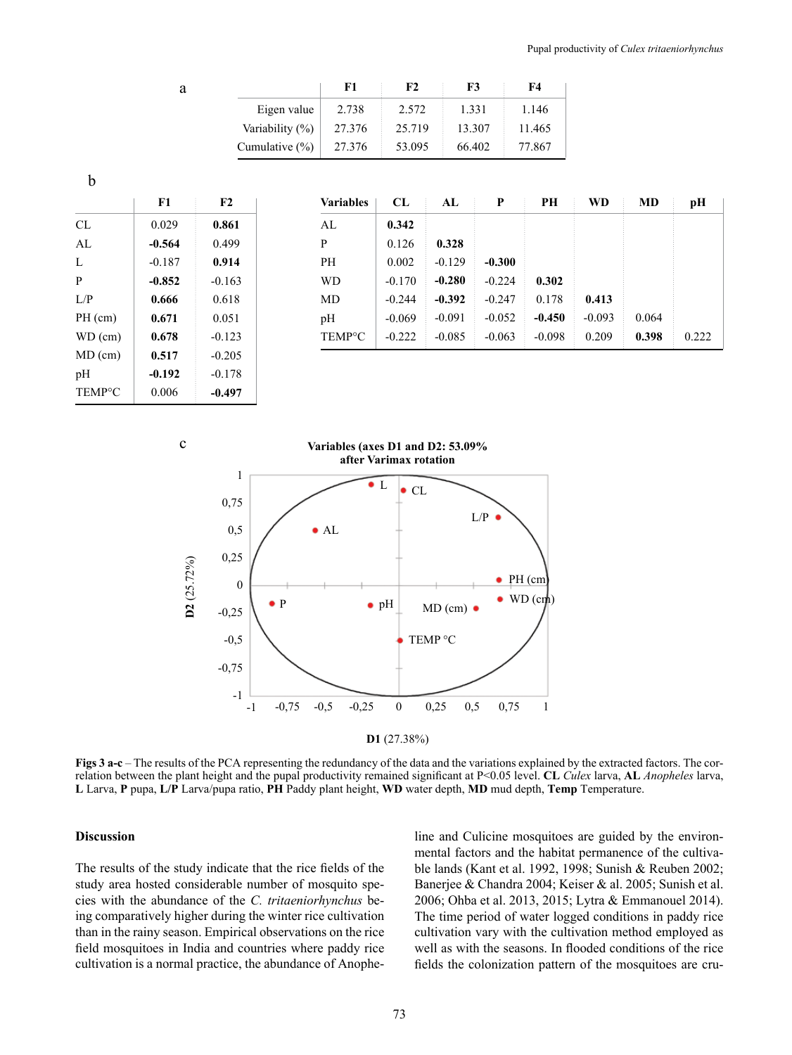|                    | F1     | F2     | F3     | F4     |
|--------------------|--------|--------|--------|--------|
| Eigen value        | 2.738  | 2.572  | 1.331  | 1.146  |
| Variability (%)    | 27.376 | 25.719 | 13.307 | 11.465 |
| Cumulative $(\% )$ | 27.376 | 53.095 | 66.402 | 77.867 |

b

TEMP°C

0.006

**-0.497**

a

|           | F1       | F2       | <b>Variables</b>    | CL       | AL       | P        | PН       | WD       | MD    | pН    |
|-----------|----------|----------|---------------------|----------|----------|----------|----------|----------|-------|-------|
| CL        | 0.029    | 0.861    | AL                  | 0.342    |          |          |          |          |       |       |
| AL        | $-0.564$ | 0.499    | P                   | 0.126    | 0.328    |          |          |          |       |       |
| L         | $-0.187$ | 0.914    | PH                  | 0.002    | $-0.129$ | $-0.300$ |          |          |       |       |
| P         | $-0.852$ | $-0.163$ | <b>WD</b>           | $-0.170$ | $-0.280$ | $-0.224$ | 0.302    |          |       |       |
| L/P       | 0.666    | 0.618    | MD                  | $-0.244$ | $-0.392$ | $-0.247$ | 0.178    | 0.413    |       |       |
| $PH$ (cm) | 0.671    | 0.051    | pH                  | $-0.069$ | $-0.091$ | $-0.052$ | $-0.450$ | $-0.093$ | 0.064 |       |
| $WD$ (cm) | 0.678    | $-0.123$ | TEMP <sup>o</sup> C | $-0.222$ | $-0.085$ | $-0.063$ | $-0.098$ | 0.209    | 0.398 | 0.222 |
| $MD$ (cm) | 0.517    | $-0.205$ |                     |          |          |          |          |          |       |       |
| pH        | $-0.192$ | $-0.178$ |                     |          |          |          |          |          |       |       |





**Figs 3 a-c** – The results of the PCA representing the redundancy of the data and the variations explained by the extracted factors. The correlation between the plant height and the pupal productivity remained significant at P<0.05 level. **CL** *Culex* larva, **AL** *Anopheles* larva, **L** Larva, **P** pupa, **L/P** Larva/pupa ratio, **PH** Paddy plant height, **WD** water depth, **MD** mud depth, **Temp** Temperature.

## **Discussion**

The results of the study indicate that the rice fields of the study area hosted considerable number of mosquito species with the abundance of the *C. tritaeniorhynchus* being comparatively higher during the winter rice cultivation than in the rainy season. Empirical observations on the rice field mosquitoes in India and countries where paddy rice cultivation is a normal practice, the abundance of Anopheline and Culicine mosquitoes are guided by the environmental factors and the habitat permanence of the cultivable lands (Kant et al. 1992, 1998; Sunish & Reuben 2002; Banerjee & Chandra 2004; Keiser & al. 2005; Sunish et al. 2006; Ohba et al. 2013, 2015; Lytra & Emmanouel 2014). The time period of water logged conditions in paddy rice cultivation vary with the cultivation method employed as well as with the seasons. In flooded conditions of the rice fields the colonization pattern of the mosquitoes are cru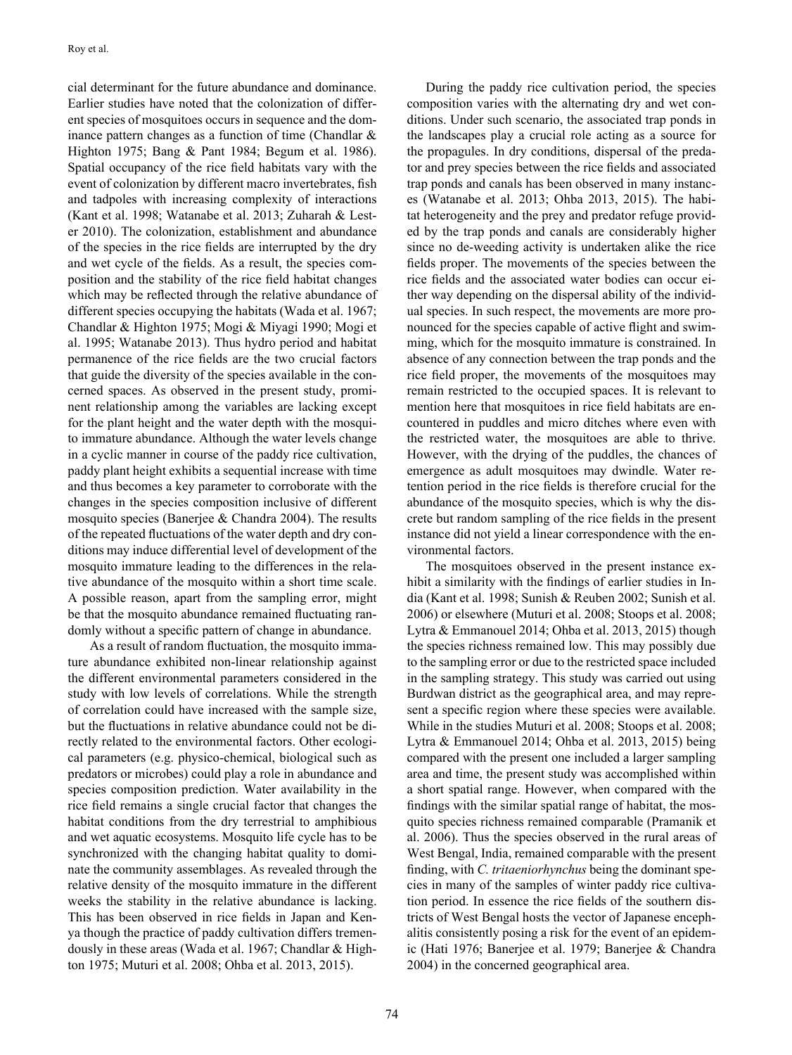cial determinant for the future abundance and dominance. Earlier studies have noted that the colonization of different species of mosquitoes occurs in sequence and the dominance pattern changes as a function of time (Chandlar & Highton 1975; Bang & Pant 1984; Begum et al. 1986). Spatial occupancy of the rice field habitats vary with the event of colonization by different macro invertebrates, fish and tadpoles with increasing complexity of interactions (Kant et al. 1998; Watanabe et al. 2013; Zuharah & Lester 2010). The colonization, establishment and abundance of the species in the rice fields are interrupted by the dry and wet cycle of the fields. As a result, the species composition and the stability of the rice field habitat changes which may be reflected through the relative abundance of different species occupying the habitats (Wada et al. 1967; Chandlar & Highton 1975; Mogi & Miyagi 1990; Mogi et al. 1995; Watanabe 2013). Thus hydro period and habitat permanence of the rice fields are the two crucial factors that guide the diversity of the species available in the concerned spaces. As observed in the present study, prominent relationship among the variables are lacking except for the plant height and the water depth with the mosquito immature abundance. Although the water levels change in a cyclic manner in course of the paddy rice cultivation, paddy plant height exhibits a sequential increase with time and thus becomes a key parameter to corroborate with the changes in the species composition inclusive of different mosquito species (Banerjee & Chandra 2004). The results of the repeated fluctuations of the water depth and dry conditions may induce differential level of development of the mosquito immature leading to the differences in the relative abundance of the mosquito within a short time scale. A possible reason, apart from the sampling error, might be that the mosquito abundance remained fluctuating randomly without a specific pattern of change in abundance.

 As a result of random fluctuation, the mosquito immature abundance exhibited non-linear relationship against the different environmental parameters considered in the study with low levels of correlations. While the strength of correlation could have increased with the sample size, but the fluctuations in relative abundance could not be directly related to the environmental factors. Other ecological parameters (e.g. physico-chemical, biological such as predators or microbes) could play a role in abundance and species composition prediction. Water availability in the rice field remains a single crucial factor that changes the habitat conditions from the dry terrestrial to amphibious and wet aquatic ecosystems. Mosquito life cycle has to be synchronized with the changing habitat quality to dominate the community assemblages. As revealed through the relative density of the mosquito immature in the different weeks the stability in the relative abundance is lacking. This has been observed in rice fields in Japan and Kenya though the practice of paddy cultivation differs tremendously in these areas (Wada et al. 1967; Chandlar & Highton 1975; Muturi et al. 2008; Ohba et al. 2013, 2015).

During the paddy rice cultivation period, the species composition varies with the alternating dry and wet conditions. Under such scenario, the associated trap ponds in the landscapes play a crucial role acting as a source for the propagules. In dry conditions, dispersal of the predator and prey species between the rice fields and associated trap ponds and canals has been observed in many instances (Watanabe et al. 2013; Ohba 2013, 2015). The habitat heterogeneity and the prey and predator refuge provided by the trap ponds and canals are considerably higher since no de-weeding activity is undertaken alike the rice fields proper. The movements of the species between the rice fields and the associated water bodies can occur either way depending on the dispersal ability of the individual species. In such respect, the movements are more pronounced for the species capable of active flight and swimming, which for the mosquito immature is constrained. In absence of any connection between the trap ponds and the rice field proper, the movements of the mosquitoes may remain restricted to the occupied spaces. It is relevant to mention here that mosquitoes in rice field habitats are encountered in puddles and micro ditches where even with the restricted water, the mosquitoes are able to thrive. However, with the drying of the puddles, the chances of emergence as adult mosquitoes may dwindle. Water retention period in the rice fields is therefore crucial for the abundance of the mosquito species, which is why the discrete but random sampling of the rice fields in the present instance did not yield a linear correspondence with the environmental factors.

The mosquitoes observed in the present instance exhibit a similarity with the findings of earlier studies in India (Kant et al. 1998; Sunish & Reuben 2002; Sunish et al. 2006) or elsewhere (Muturi et al. 2008; Stoops et al. 2008; Lytra & Emmanouel 2014; Ohba et al. 2013, 2015) though the species richness remained low. This may possibly due to the sampling error or due to the restricted space included in the sampling strategy. This study was carried out using Burdwan district as the geographical area, and may represent a specific region where these species were available. While in the studies Muturi et al. 2008; Stoops et al. 2008; Lytra & Emmanouel 2014; Ohba et al. 2013, 2015) being compared with the present one included a larger sampling area and time, the present study was accomplished within a short spatial range. However, when compared with the findings with the similar spatial range of habitat, the mosquito species richness remained comparable (Pramanik et al. 2006). Thus the species observed in the rural areas of West Bengal, India, remained comparable with the present finding, with *C. tritaeniorhynchus* being the dominant species in many of the samples of winter paddy rice cultivation period. In essence the rice fields of the southern districts of West Bengal hosts the vector of Japanese encephalitis consistently posing a risk for the event of an epidemic (Hati 1976; Banerjee et al. 1979; Banerjee & Chandra 2004) in the concerned geographical area.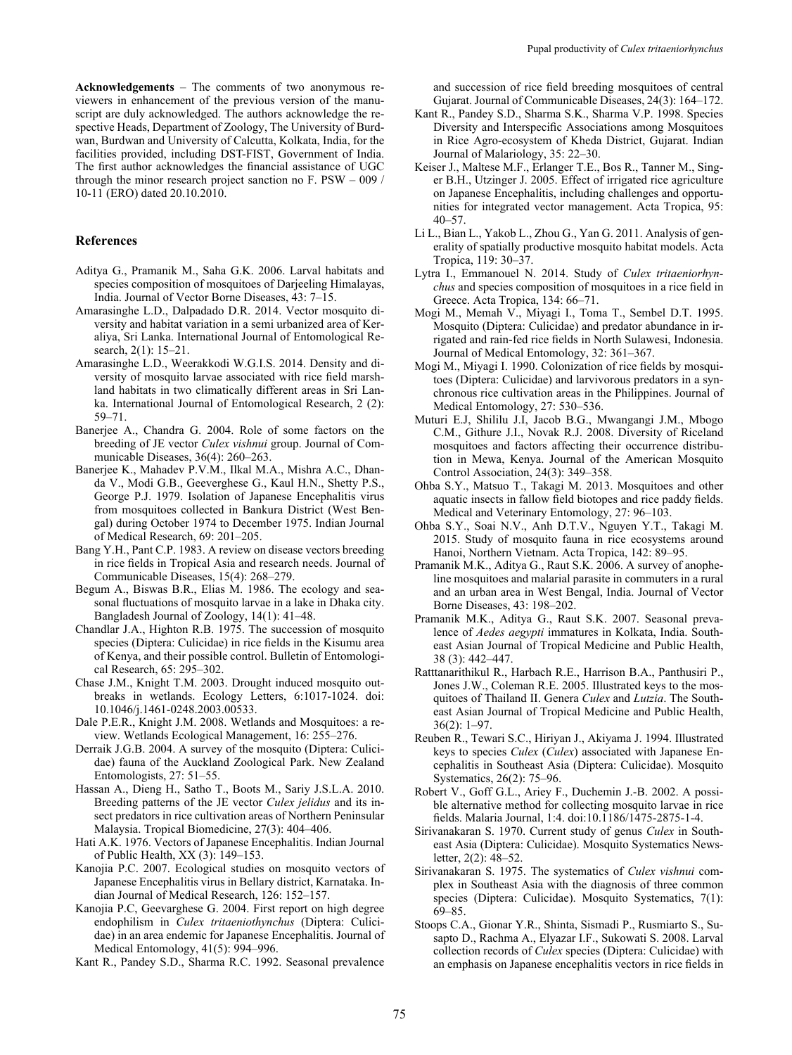**Acknowledgements** – The comments of two anonymous reviewers in enhancement of the previous version of the manuscript are duly acknowledged. The authors acknowledge the respective Heads, Department of Zoology, The University of Burdwan, Burdwan and University of Calcutta, Kolkata, India, for the facilities provided, including DST-FIST, Government of India. The first author acknowledges the financial assistance of UGC through the minor research project sanction no F. PSW – 009  $/$ 10-11 (ERO) dated 20.10.2010.

### **References**

- Aditya G., Pramanik M., Saha G.K. 2006. Larval habitats and species composition of mosquitoes of Darjeeling Himalayas, India. Journal of Vector Borne Diseases, 43: 7–15.
- Amarasinghe L.D., Dalpadado D.R. 2014. Vector mosquito diversity and habitat variation in a semi urbanized area of Keraliya, Sri Lanka. International Journal of Entomological Research, 2(1): 15–21.
- Amarasinghe L.D., Weerakkodi W.G.I.S. 2014. Density and diversity of mosquito larvae associated with rice field marshland habitats in two climatically different areas in Sri Lanka. International Journal of Entomological Research, 2 (2): 59–71.
- Banerjee A., Chandra G. 2004. Role of some factors on the breeding of JE vector *Culex vishnui* group. Journal of Communicable Diseases, 36(4): 260–263.
- Banerjee K., Mahadev P.V.M., Ilkal M.A., Mishra A.C., Dhanda V., Modi G.B., Geeverghese G., Kaul H.N., Shetty P.S., George P.J. 1979. Isolation of Japanese Encephalitis virus from mosquitoes collected in Bankura District (West Bengal) during October 1974 to December 1975. Indian Journal of Medical Research, 69: 201–205.
- Bang Y.H., Pant C.P. 1983. A review on disease vectors breeding in rice fields in Tropical Asia and research needs. Journal of Communicable Diseases, 15(4): 268–279.
- Begum A., Biswas B.R., Elias M. 1986. The ecology and seasonal fluctuations of mosquito larvae in a lake in Dhaka city. Bangladesh Journal of Zoology, 14(1): 41–48.
- Chandlar J.A., Highton R.B. 1975. The succession of mosquito species (Diptera: Culicidae) in rice fields in the Kisumu area of Kenya, and their possible control. Bulletin of Entomological Research, 65: 295–302.
- Chase J.M., Knight T.M. 2003. Drought induced mosquito outbreaks in wetlands. Ecology Letters, 6:1017-1024. doi: 10.1046/j.1461-0248.2003.00533.
- Dale P.E.R., Knight J.M. 2008. Wetlands and Mosquitoes: a review. Wetlands Ecological Management, 16: 255–276.
- Derraik J.G.B. 2004. A survey of the mosquito (Diptera: Culicidae) fauna of the Auckland Zoological Park. New Zealand Entomologists, 27: 51–55.
- Hassan A., Dieng H., Satho T., Boots M., Sariy J.S.L.A. 2010. Breeding patterns of the JE vector *Culex jelidus* and its insect predators in rice cultivation areas of Northern Peninsular Malaysia. Tropical Biomedicine, 27(3): 404–406.
- Hati A.K. 1976. Vectors of Japanese Encephalitis. Indian Journal of Public Health, XX (3): 149–153.
- Kanojia P.C. 2007. Ecological studies on mosquito vectors of Japanese Encephalitis virus in Bellary district, Karnataka. Indian Journal of Medical Research, 126: 152–157.
- Kanojia P.C, Geevarghese G. 2004. First report on high degree endophilism in *Culex tritaeniothynchus* (Diptera: Culicidae) in an area endemic for Japanese Encephalitis. Journal of Medical Entomology, 41(5): 994–996.
- Kant R., Pandey S.D., Sharma R.C. 1992. Seasonal prevalence

and succession of rice field breeding mosquitoes of central Gujarat. Journal of Communicable Diseases, 24(3): 164–172.

- Kant R., Pandey S.D., Sharma S.K., Sharma V.P. 1998. Species Diversity and Interspecific Associations among Mosquitoes in Rice Agro-ecosystem of Kheda District, Gujarat. Indian Journal of Malariology, 35: 22–30.
- Keiser J., Maltese M.F., Erlanger T.E., Bos R., Tanner M., Singer B.H., Utzinger J. 2005. Effect of irrigated rice agriculture on Japanese Encephalitis, including challenges and opportunities for integrated vector management. Acta Tropica, 95: 40–57.
- Li L., Bian L., Yakob L., Zhou G., Yan G. 2011. Analysis of generality of spatially productive mosquito habitat models. Acta Tropica, 119: 30–37.
- Lytra I., Emmanouel N. 2014. Study of *Culex tritaeniorhynchus* and species composition of mosquitoes in a rice field in Greece. Acta Tropica, 134: 66–71.
- Mogi M., Memah V., Miyagi I., Toma T., Sembel D.T. 1995. Mosquito (Diptera: Culicidae) and predator abundance in irrigated and rain-fed rice fields in North Sulawesi, Indonesia. Journal of Medical Entomology, 32: 361–367.
- Mogi M., Miyagi I. 1990. Colonization of rice fields by mosquitoes (Diptera: Culicidae) and larvivorous predators in a synchronous rice cultivation areas in the Philippines. Journal of Medical Entomology, 27: 530–536.
- Muturi E.J, Shililu J.I, Jacob B.G., Mwangangi J.M., Mbogo C.M., Githure J.I., Novak R.J. 2008. Diversity of Riceland mosquitoes and factors affecting their occurrence distribution in Mewa, Kenya. Journal of the American Mosquito Control Association, 24(3): 349–358.
- Ohba S.Y., Matsuo T., Takagi M. 2013. Mosquitoes and other aquatic insects in fallow field biotopes and rice paddy fields. Medical and Veterinary Entomology, 27: 96–103.
- Ohba S.Y., Soai N.V., Anh D.T.V., Nguyen Y.T., Takagi M. 2015. Study of mosquito fauna in rice ecosystems around Hanoi, Northern Vietnam. Acta Tropica, 142: 89–95.
- Pramanik M.K., Aditya G., Raut S.K. 2006. A survey of anopheline mosquitoes and malarial parasite in commuters in a rural and an urban area in West Bengal, India. Journal of Vector Borne Diseases, 43: 198–202.
- Pramanik M.K., Aditya G., Raut S.K. 2007. Seasonal prevalence of *Aedes aegypti* immatures in Kolkata, India. Southeast Asian Journal of Tropical Medicine and Public Health, 38 (3): 442–447.
- Ratttanarithikul R., Harbach R.E., Harrison B.A., Panthusiri P., Jones J.W., Coleman R.E. 2005. Illustrated keys to the mosquitoes of Thailand II. Genera *Culex* and *Lutzia*. The Southeast Asian Journal of Tropical Medicine and Public Health, 36(2): 1–97.
- Reuben R., Tewari S.C., Hiriyan J., Akiyama J. 1994. Illustrated keys to species *Culex* (*Culex*) associated with Japanese Encephalitis in Southeast Asia (Diptera: Culicidae). Mosquito Systematics, 26(2): 75–96.
- Robert V., Goff G.L., Ariey F., Duchemin J.-B. 2002. A possible alternative method for collecting mosquito larvae in rice fields. Malaria Journal, 1:4. doi:10.1186/1475-2875-1-4.
- Sirivanakaran S. 1970. Current study of genus *Culex* in Southeast Asia (Diptera: Culicidae). Mosquito Systematics Newsletter, 2(2): 48–52.
- Sirivanakaran S. 1975. The systematics of *Culex vishnui* complex in Southeast Asia with the diagnosis of three common species (Diptera: Culicidae). Mosquito Systematics, 7(1): 69–85.
- Stoops C.A., Gionar Y.R., Shinta, Sismadi P., Rusmiarto S., Susapto D., Rachma A., Elyazar I.F., Sukowati S. 2008. Larval collection records of *Culex* species (Diptera: Culicidae) with an emphasis on Japanese encephalitis vectors in rice fields in